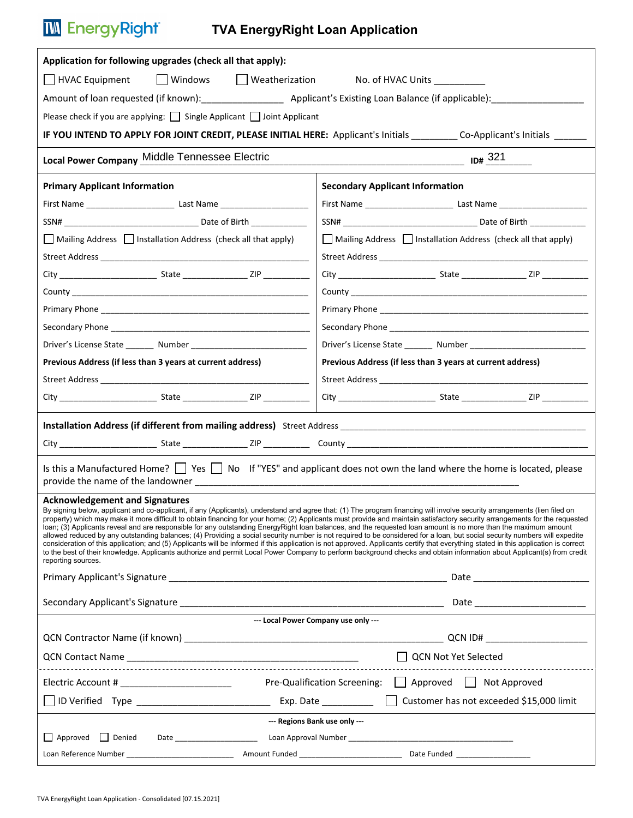## **TW** EnergyRight®

## **TVA EnergyRight Loan Application**

| Application for following upgrades (check all that apply):                                                                                                                                                                     |                                                         |                                                                                                                                                                                                                                                                                                                                                                                                                                                                                                                                                                                                                                                                                                                                                                                                                                                                                                                                                                                                                                                                             |  |  |  |  |  |  |  |
|--------------------------------------------------------------------------------------------------------------------------------------------------------------------------------------------------------------------------------|---------------------------------------------------------|-----------------------------------------------------------------------------------------------------------------------------------------------------------------------------------------------------------------------------------------------------------------------------------------------------------------------------------------------------------------------------------------------------------------------------------------------------------------------------------------------------------------------------------------------------------------------------------------------------------------------------------------------------------------------------------------------------------------------------------------------------------------------------------------------------------------------------------------------------------------------------------------------------------------------------------------------------------------------------------------------------------------------------------------------------------------------------|--|--|--|--|--|--|--|
| Windows Weatherization No. of HVAC Units __________<br>□ HVAC Equipment                                                                                                                                                        |                                                         |                                                                                                                                                                                                                                                                                                                                                                                                                                                                                                                                                                                                                                                                                                                                                                                                                                                                                                                                                                                                                                                                             |  |  |  |  |  |  |  |
|                                                                                                                                                                                                                                |                                                         | Amount of loan requested (if known): __________________________ Applicant's Existing Loan Balance (if applicable): _______________                                                                                                                                                                                                                                                                                                                                                                                                                                                                                                                                                                                                                                                                                                                                                                                                                                                                                                                                          |  |  |  |  |  |  |  |
| Please check if you are applying: $\Box$ Single Applicant $\Box$ Joint Applicant                                                                                                                                               |                                                         |                                                                                                                                                                                                                                                                                                                                                                                                                                                                                                                                                                                                                                                                                                                                                                                                                                                                                                                                                                                                                                                                             |  |  |  |  |  |  |  |
|                                                                                                                                                                                                                                |                                                         | IF YOU INTEND TO APPLY FOR JOINT CREDIT, PLEASE INITIAL HERE: Applicant's Initials _________ Co-Applicant's Initials _______                                                                                                                                                                                                                                                                                                                                                                                                                                                                                                                                                                                                                                                                                                                                                                                                                                                                                                                                                |  |  |  |  |  |  |  |
| Local Power Company Middle Tennessee Electric                                                                                                                                                                                  |                                                         |                                                                                                                                                                                                                                                                                                                                                                                                                                                                                                                                                                                                                                                                                                                                                                                                                                                                                                                                                                                                                                                                             |  |  |  |  |  |  |  |
| <b>Primary Applicant Information</b>                                                                                                                                                                                           |                                                         | <b>Secondary Applicant Information</b>                                                                                                                                                                                                                                                                                                                                                                                                                                                                                                                                                                                                                                                                                                                                                                                                                                                                                                                                                                                                                                      |  |  |  |  |  |  |  |
|                                                                                                                                                                                                                                |                                                         |                                                                                                                                                                                                                                                                                                                                                                                                                                                                                                                                                                                                                                                                                                                                                                                                                                                                                                                                                                                                                                                                             |  |  |  |  |  |  |  |
|                                                                                                                                                                                                                                |                                                         |                                                                                                                                                                                                                                                                                                                                                                                                                                                                                                                                                                                                                                                                                                                                                                                                                                                                                                                                                                                                                                                                             |  |  |  |  |  |  |  |
| Mailing Address   Installation Address (check all that apply)                                                                                                                                                                  |                                                         | Mailing Address   Installation Address (check all that apply)                                                                                                                                                                                                                                                                                                                                                                                                                                                                                                                                                                                                                                                                                                                                                                                                                                                                                                                                                                                                               |  |  |  |  |  |  |  |
|                                                                                                                                                                                                                                |                                                         |                                                                                                                                                                                                                                                                                                                                                                                                                                                                                                                                                                                                                                                                                                                                                                                                                                                                                                                                                                                                                                                                             |  |  |  |  |  |  |  |
|                                                                                                                                                                                                                                |                                                         |                                                                                                                                                                                                                                                                                                                                                                                                                                                                                                                                                                                                                                                                                                                                                                                                                                                                                                                                                                                                                                                                             |  |  |  |  |  |  |  |
|                                                                                                                                                                                                                                |                                                         |                                                                                                                                                                                                                                                                                                                                                                                                                                                                                                                                                                                                                                                                                                                                                                                                                                                                                                                                                                                                                                                                             |  |  |  |  |  |  |  |
|                                                                                                                                                                                                                                |                                                         |                                                                                                                                                                                                                                                                                                                                                                                                                                                                                                                                                                                                                                                                                                                                                                                                                                                                                                                                                                                                                                                                             |  |  |  |  |  |  |  |
|                                                                                                                                                                                                                                |                                                         |                                                                                                                                                                                                                                                                                                                                                                                                                                                                                                                                                                                                                                                                                                                                                                                                                                                                                                                                                                                                                                                                             |  |  |  |  |  |  |  |
|                                                                                                                                                                                                                                |                                                         |                                                                                                                                                                                                                                                                                                                                                                                                                                                                                                                                                                                                                                                                                                                                                                                                                                                                                                                                                                                                                                                                             |  |  |  |  |  |  |  |
| Previous Address (if less than 3 years at current address)                                                                                                                                                                     |                                                         | Previous Address (if less than 3 years at current address)                                                                                                                                                                                                                                                                                                                                                                                                                                                                                                                                                                                                                                                                                                                                                                                                                                                                                                                                                                                                                  |  |  |  |  |  |  |  |
|                                                                                                                                                                                                                                |                                                         |                                                                                                                                                                                                                                                                                                                                                                                                                                                                                                                                                                                                                                                                                                                                                                                                                                                                                                                                                                                                                                                                             |  |  |  |  |  |  |  |
|                                                                                                                                                                                                                                |                                                         |                                                                                                                                                                                                                                                                                                                                                                                                                                                                                                                                                                                                                                                                                                                                                                                                                                                                                                                                                                                                                                                                             |  |  |  |  |  |  |  |
| Installation Address (if different from mailing address) Street Address [1982] [1982] [1982] [1982] [1982] [1982] [1982] [1982] [1982] [1982] [1982] [1982] [1982] [1982] [1982] [1982] [1982] [1982] [1982] [1982] [1982] [19 |                                                         |                                                                                                                                                                                                                                                                                                                                                                                                                                                                                                                                                                                                                                                                                                                                                                                                                                                                                                                                                                                                                                                                             |  |  |  |  |  |  |  |
|                                                                                                                                                                                                                                |                                                         |                                                                                                                                                                                                                                                                                                                                                                                                                                                                                                                                                                                                                                                                                                                                                                                                                                                                                                                                                                                                                                                                             |  |  |  |  |  |  |  |
|                                                                                                                                                                                                                                |                                                         |                                                                                                                                                                                                                                                                                                                                                                                                                                                                                                                                                                                                                                                                                                                                                                                                                                                                                                                                                                                                                                                                             |  |  |  |  |  |  |  |
| Is this a Manufactured Home? $\Box$ Yes $\Box$ No If "YES" and applicant does not own the land where the home is located, please                                                                                               |                                                         |                                                                                                                                                                                                                                                                                                                                                                                                                                                                                                                                                                                                                                                                                                                                                                                                                                                                                                                                                                                                                                                                             |  |  |  |  |  |  |  |
| <b>Acknowledgement and Signatures</b>                                                                                                                                                                                          |                                                         |                                                                                                                                                                                                                                                                                                                                                                                                                                                                                                                                                                                                                                                                                                                                                                                                                                                                                                                                                                                                                                                                             |  |  |  |  |  |  |  |
| reporting sources.                                                                                                                                                                                                             |                                                         | By signing below, applicant and co-applicant, if any (Applicants), understand and agree that: (1) The program financing will involve security arrangements (lien filed on<br>property) which may make it more difficult to obtain financing for your home; (2) Applicants must provide and maintain satisfactory security arrangements for the requested<br>loan; (3) Applicants reveal and are responsible for any outstanding EnergyRight loan balances, and the requested loan amount is no more than the maximum amount<br>allowed reduced by any outstanding balances; (4) Providing a social security number is not required to be considered for a loan, but social security numbers will expedite<br>consideration of this application; and (5) Applicants will be informed if this application is not approved. Applicants certify that everything stated in this application is correct<br>to the best of their knowledge. Applicants authorize and permit Local Power Company to perform background checks and obtain information about Applicant(s) from credit |  |  |  |  |  |  |  |
|                                                                                                                                                                                                                                |                                                         |                                                                                                                                                                                                                                                                                                                                                                                                                                                                                                                                                                                                                                                                                                                                                                                                                                                                                                                                                                                                                                                                             |  |  |  |  |  |  |  |
|                                                                                                                                                                                                                                |                                                         |                                                                                                                                                                                                                                                                                                                                                                                                                                                                                                                                                                                                                                                                                                                                                                                                                                                                                                                                                                                                                                                                             |  |  |  |  |  |  |  |
| --- Local Power Company use only ---                                                                                                                                                                                           |                                                         |                                                                                                                                                                                                                                                                                                                                                                                                                                                                                                                                                                                                                                                                                                                                                                                                                                                                                                                                                                                                                                                                             |  |  |  |  |  |  |  |
|                                                                                                                                                                                                                                |                                                         |                                                                                                                                                                                                                                                                                                                                                                                                                                                                                                                                                                                                                                                                                                                                                                                                                                                                                                                                                                                                                                                                             |  |  |  |  |  |  |  |
| QCN Not Yet Selected                                                                                                                                                                                                           |                                                         |                                                                                                                                                                                                                                                                                                                                                                                                                                                                                                                                                                                                                                                                                                                                                                                                                                                                                                                                                                                                                                                                             |  |  |  |  |  |  |  |
| Electric Account # __________________________                                                                                                                                                                                  | Pre-Qualification Screening:<br>Approved   Not Approved |                                                                                                                                                                                                                                                                                                                                                                                                                                                                                                                                                                                                                                                                                                                                                                                                                                                                                                                                                                                                                                                                             |  |  |  |  |  |  |  |
|                                                                                                                                                                                                                                |                                                         | Customer has not exceeded \$15,000 limit                                                                                                                                                                                                                                                                                                                                                                                                                                                                                                                                                                                                                                                                                                                                                                                                                                                                                                                                                                                                                                    |  |  |  |  |  |  |  |
| --- Regions Bank use only ---                                                                                                                                                                                                  |                                                         |                                                                                                                                                                                                                                                                                                                                                                                                                                                                                                                                                                                                                                                                                                                                                                                                                                                                                                                                                                                                                                                                             |  |  |  |  |  |  |  |
| Approved Denied                                                                                                                                                                                                                |                                                         |                                                                                                                                                                                                                                                                                                                                                                                                                                                                                                                                                                                                                                                                                                                                                                                                                                                                                                                                                                                                                                                                             |  |  |  |  |  |  |  |
|                                                                                                                                                                                                                                |                                                         |                                                                                                                                                                                                                                                                                                                                                                                                                                                                                                                                                                                                                                                                                                                                                                                                                                                                                                                                                                                                                                                                             |  |  |  |  |  |  |  |